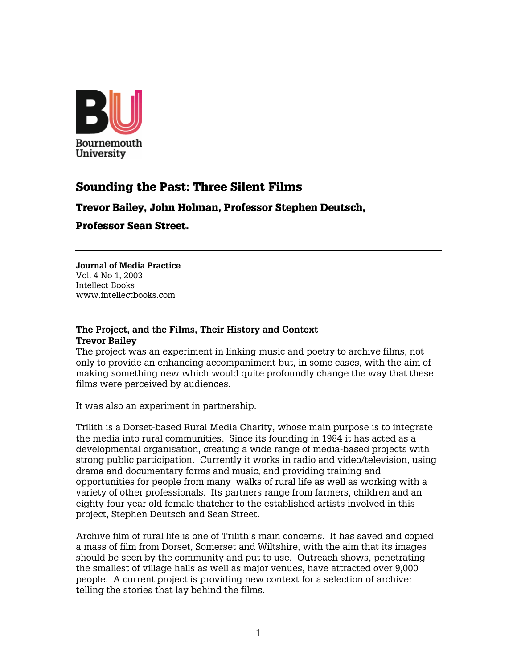

# Sounding the Past: Three Silent Films

## Trevor Bailey, John Holman, Professor Stephen Deutsch,

## Professor Sean Street.

**Journal of Media Practice**  Vol. 4 No 1, 2003 Intellect Books www.intellectbooks.com

#### **The Project, and the Films, Their History and Context Trevor Bailey**

The project was an experiment in linking music and poetry to archive films, not only to provide an enhancing accompaniment but, in some cases, with the aim of making something new which would quite profoundly change the way that these films were perceived by audiences.

It was also an experiment in partnership.

Trilith is a Dorset-based Rural Media Charity, whose main purpose is to integrate the media into rural communities. Since its founding in 1984 it has acted as a developmental organisation, creating a wide range of media-based projects with strong public participation. Currently it works in radio and video/television, using drama and documentary forms and music, and providing training and opportunities for people from many walks of rural life as well as working with a variety of other professionals. Its partners range from farmers, children and an eighty-four year old female thatcher to the established artists involved in this project, Stephen Deutsch and Sean Street.

Archive film of rural life is one of Trilith's main concerns. It has saved and copied a mass of film from Dorset, Somerset and Wiltshire, with the aim that its images should be seen by the community and put to use. Outreach shows, penetrating the smallest of village halls as well as major venues, have attracted over 9,000 people. A current project is providing new context for a selection of archive: telling the stories that lay behind the films.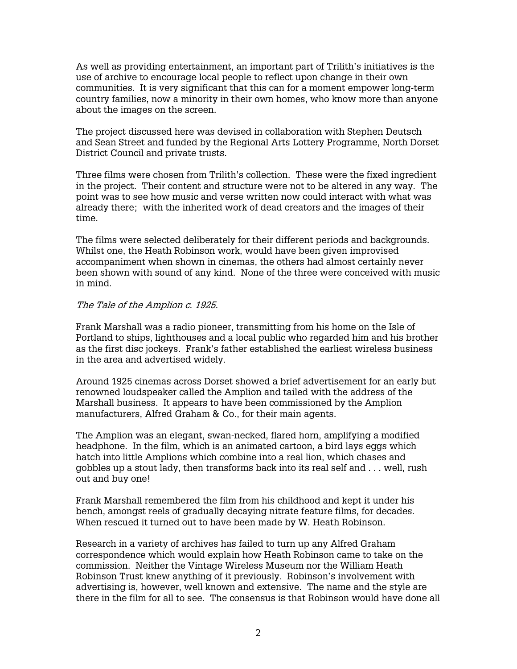As well as providing entertainment, an important part of Trilith's initiatives is the use of archive to encourage local people to reflect upon change in their own communities. It is very significant that this can for a moment empower long-term country families, now a minority in their own homes, who know more than anyone about the images on the screen.

The project discussed here was devised in collaboration with Stephen Deutsch and Sean Street and funded by the Regional Arts Lottery Programme, North Dorset District Council and private trusts.

Three films were chosen from Trilith's collection. These were the fixed ingredient in the project. Their content and structure were not to be altered in any way. The point was to see how music and verse written now could interact with what was already there; with the inherited work of dead creators and the images of their time.

The films were selected deliberately for their different periods and backgrounds. Whilst one, the Heath Robinson work, would have been given improvised accompaniment when shown in cinemas, the others had almost certainly never been shown with sound of any kind. None of the three were conceived with music in mind.

#### The Tale of the Amplion c. 1925.

Frank Marshall was a radio pioneer, transmitting from his home on the Isle of Portland to ships, lighthouses and a local public who regarded him and his brother as the first disc jockeys. Frank's father established the earliest wireless business in the area and advertised widely.

Around 1925 cinemas across Dorset showed a brief advertisement for an early but renowned loudspeaker called the Amplion and tailed with the address of the Marshall business. It appears to have been commissioned by the Amplion manufacturers, Alfred Graham & Co., for their main agents.

The Amplion was an elegant, swan-necked, flared horn, amplifying a modified headphone. In the film, which is an animated cartoon, a bird lays eggs which hatch into little Amplions which combine into a real lion, which chases and gobbles up a stout lady, then transforms back into its real self and . . . well, rush out and buy one!

Frank Marshall remembered the film from his childhood and kept it under his bench, amongst reels of gradually decaying nitrate feature films, for decades. When rescued it turned out to have been made by W. Heath Robinson.

Research in a variety of archives has failed to turn up any Alfred Graham correspondence which would explain how Heath Robinson came to take on the commission. Neither the Vintage Wireless Museum nor the William Heath Robinson Trust knew anything of it previously. Robinson's involvement with advertising is, however, well known and extensive. The name and the style are there in the film for all to see. The consensus is that Robinson would have done all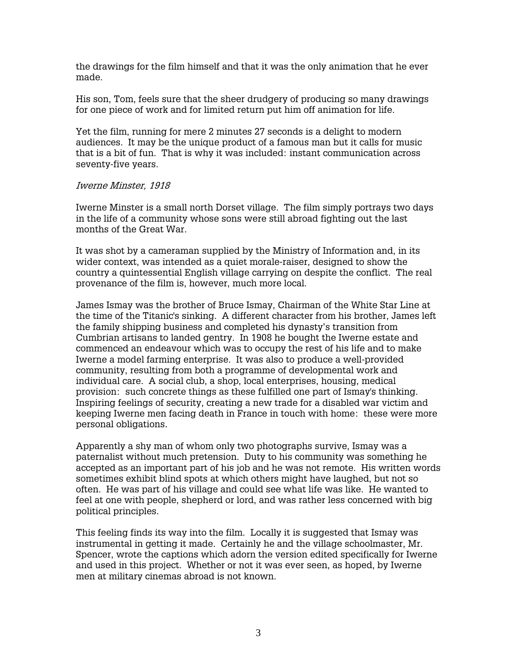the drawings for the film himself and that it was the only animation that he ever made.

His son, Tom, feels sure that the sheer drudgery of producing so many drawings for one piece of work and for limited return put him off animation for life.

Yet the film, running for mere 2 minutes 27 seconds is a delight to modern audiences. It may be the unique product of a famous man but it calls for music that is a bit of fun. That is why it was included: instant communication across seventy-five years.

#### Iwerne Minster, 1918

Iwerne Minster is a small north Dorset village. The film simply portrays two days in the life of a community whose sons were still abroad fighting out the last months of the Great War.

It was shot by a cameraman supplied by the Ministry of Information and, in its wider context, was intended as a quiet morale-raiser, designed to show the country a quintessential English village carrying on despite the conflict. The real provenance of the film is, however, much more local.

James Ismay was the brother of Bruce Ismay, Chairman of the White Star Line at the time of the Titanic's sinking. A different character from his brother, James left the family shipping business and completed his dynasty's transition from Cumbrian artisans to landed gentry. In 1908 he bought the Iwerne estate and commenced an endeavour which was to occupy the rest of his life and to make Iwerne a model farming enterprise. It was also to produce a well-provided community, resulting from both a programme of developmental work and individual care. A social club, a shop, local enterprises, housing, medical provision: such concrete things as these fulfilled one part of Ismay's thinking. Inspiring feelings of security, creating a new trade for a disabled war victim and keeping Iwerne men facing death in France in touch with home: these were more personal obligations.

Apparently a shy man of whom only two photographs survive, Ismay was a paternalist without much pretension. Duty to his community was something he accepted as an important part of his job and he was not remote. His written words sometimes exhibit blind spots at which others might have laughed, but not so often. He was part of his village and could see what life was like. He wanted to feel at one with people, shepherd or lord, and was rather less concerned with big political principles.

This feeling finds its way into the film. Locally it is suggested that Ismay was instrumental in getting it made. Certainly he and the village schoolmaster, Mr. Spencer, wrote the captions which adorn the version edited specifically for Iwerne and used in this project. Whether or not it was ever seen, as hoped, by Iwerne men at military cinemas abroad is not known.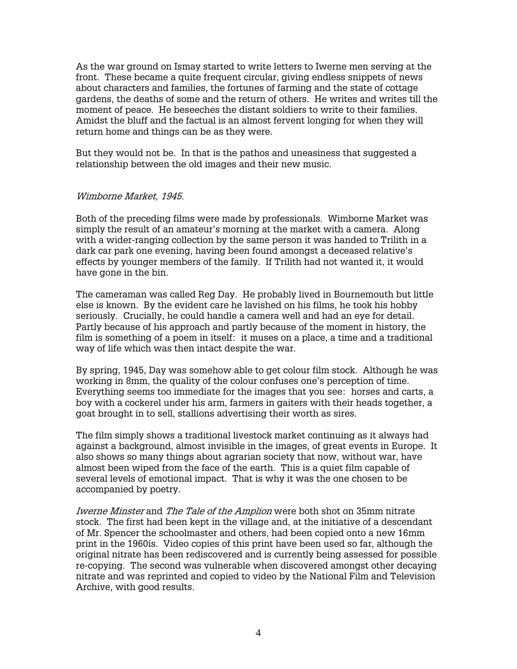As the war ground on Ismay started to write letters to Iwerne men serving at the front. These became a quite frequent circular, giving endless snippets of news about characters and families, the fortunes of farming and the state of cottage gardens, the deaths of some and the return of others. He writes and writes till the moment of peace. He beseeches the distant soldiers to write to their families. Amidst the bluff and the factual is an almost fervent longing for when they will return home and things can be as they were.

But they would not be. In that is the pathos and uneasiness that suggested a relationship between the old images and their new music.

#### Wimborne Market, 1945.

Both of the preceding films were made by professionals. Wimborne Market was simply the result of an amateur's morning at the market with a camera. Along with a wider-ranging collection by the same person it was handed to Trilith in a dark car park one evening, having been found amongst a deceased relative's effects by younger members of the family. If Trilith had not wanted it, it would have gone in the bin.

The cameraman was called Reg Day. He probably lived in Bournemouth but little else is known. By the evident care he lavished on his films, he took his hobby seriously. Crucially, he could handle a camera well and had an eye for detail. Partly because of his approach and partly because of the moment in history, the film is something of a poem in itself: it muses on a place, a time and a traditional way of life which was then intact despite the war.

By spring, 1945, Day was somehow able to get colour film stock. Although he was working in 8mm, the quality of the colour confuses one's perception of time. Everything seems too immediate for the images that you see: horses and carts, a boy with a cockerel under his arm, farmers in gaiters with their heads together, a goat brought in to sell, stallions advertising their worth as sires.

The film simply shows a traditional livestock market continuing as it always had against a background, almost invisible in the images, of great events in Europe. It also shows so many things about agrarian society that now, without war, have almost been wiped from the face of the earth. This is a quiet film capable of several levels of emotional impact. That is why it was the one chosen to be accompanied by poetry.

Iwerne Minster and The Tale of the Amplion were both shot on 35mm nitrate stock. The first had been kept in the village and, at the initiative of a descendant of Mr. Spencer the schoolmaster and others, had been copied onto a new 16mm print in the 1960ís. Video copies of this print have been used so far, although the original nitrate has been rediscovered and is currently being assessed for possible re-copying. The second was vulnerable when discovered amongst other decaying nitrate and was reprinted and copied to video by the National Film and Television Archive, with good results.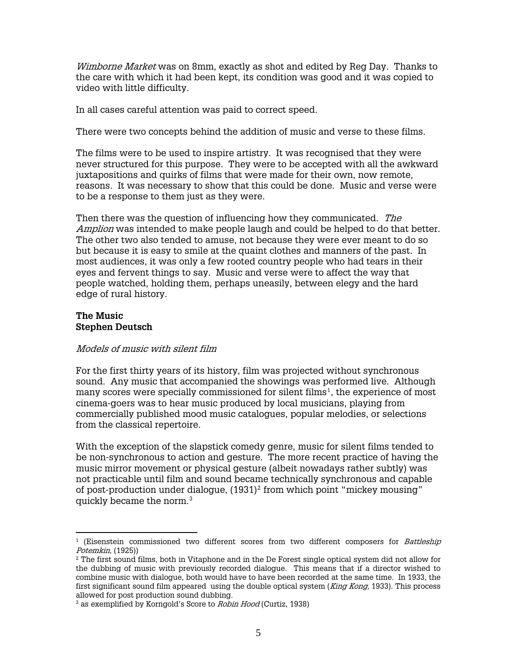Wimborne Market was on 8mm, exactly as shot and edited by Reg Day. Thanks to the care with which it had been kept, its condition was good and it was copied to video with little difficulty.

In all cases careful attention was paid to correct speed.

There were two concepts behind the addition of music and verse to these films.

The films were to be used to inspire artistry. It was recognised that they were never structured for this purpose. They were to be accepted with all the awkward juxtapositions and quirks of films that were made for their own, now remote, reasons. It was necessary to show that this could be done. Music and verse were to be a response to them just as they were.

Then there was the question of influencing how they communicated. The Amplion was intended to make people laugh and could be helped to do that better. The other two also tended to amuse, not because they were ever meant to do so but because it is easy to smile at the quaint clothes and manners of the past. In most audiences, it was only a few rooted country people who had tears in their eyes and fervent things to say. Music and verse were to affect the way that people watched, holding them, perhaps uneasily, between elegy and the hard edge of rural history.

#### **The Music Stephen Deutsch**

 $\overline{a}$ 

## Models of music with silent film

For the first thirty years of its history, film was projected without synchronous sound. Any music that accompanied the showings was performed live. Although many scores were specially commissioned for silent films<sup>[1](#page-4-0)</sup>, the experience of most cinema-goers was to hear music produced by local musicians, playing from commercially published mood music catalogues, popular melodies, or selections from the classical repertoire.

With the exception of the slapstick comedy genre, music for silent films tended to be non-synchronous to action and gesture. The more recent practice of having the music mirror movement or physical gesture (albeit nowadays rather subtly) was not practicable until film and sound became technically synchronous and capable of post-production under dialogue,  $(1931)^2$  $(1931)^2$  from which point "mickey mousing" quickly became the norm.<sup>[3](#page-4-2)</sup>

<span id="page-4-0"></span><sup>&</sup>lt;sup>1</sup> (Eisenstein commissioned two different scores from two different composers for *Battleship* Potemkin, (1925))<br><sup>2</sup> The first sound films, both in Vitaphone and in the De Forest single optical system did not allow for

<span id="page-4-1"></span>the dubbing of music with previously recorded dialogue. This means that if a director wished to combine music with dialogue, both would have to have been recorded at the same time. In 1933, the first significant sound film appeared using the double optical system (King Kong, 1933). This process allowed for post production sound dubbing.<br><sup>3</sup> as exemplified by Korngold's Score to *Robin Hood* (Curtiz, 1938)

<span id="page-4-2"></span>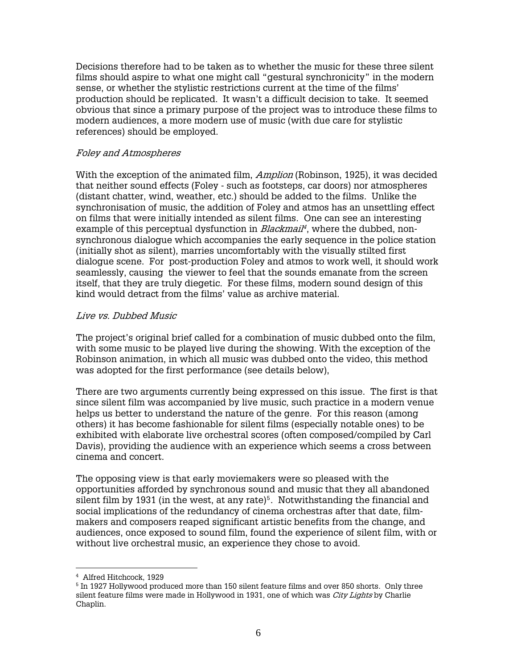Decisions therefore had to be taken as to whether the music for these three silent films should aspire to what one might call "gestural synchronicity" in the modern sense, or whether the stylistic restrictions current at the time of the films' production should be replicated. It wasn't a difficult decision to take. It seemed obvious that since a primary purpose of the project was to introduce these films to modern audiences, a more modern use of music (with due care for stylistic references) should be employed.

## Foley and Atmospheres

With the exception of the animated film, Amplion (Robinson, 1925), it was decided that neither sound effects (Foley - such as footsteps, car doors) nor atmospheres (distant chatter, wind, weather, etc.) should be added to the films. Unlike the synchronisation of music, the addition of Foley and atmos has an unsettling effect on films that were initially intended as silent films. One can see an interesting example of this perceptual dysfunction in  $Blackmail^4$  $Blackmail^4$ , where the dubbed, nonsynchronous dialogue which accompanies the early sequence in the police station (initially shot as silent), marries uncomfortably with the visually stilted first dialogue scene. For post-production Foley and atmos to work well, it should work seamlessly, causing the viewer to feel that the sounds emanate from the screen itself, that they are truly diegetic. For these films, modern sound design of this kind would detract from the films' value as archive material.

## Live vs. Dubbed Music

The project's original brief called for a combination of music dubbed onto the film, with some music to be played live during the showing. With the exception of the Robinson animation, in which all music was dubbed onto the video, this method was adopted for the first performance (see details below),

There are two arguments currently being expressed on this issue. The first is that since silent film was accompanied by live music, such practice in a modern venue helps us better to understand the nature of the genre. For this reason (among others) it has become fashionable for silent films (especially notable ones) to be exhibited with elaborate live orchestral scores (often composed/compiled by Carl Davis), providing the audience with an experience which seems a cross between cinema and concert.

The opposing view is that early moviemakers were so pleased with the opportunities afforded by synchronous sound and music that they all abandoned silent film by 1931 (in the west, at any rate)<sup>[5](#page-5-1)</sup>. Notwithstanding the financial and social implications of the redundancy of cinema orchestras after that date, filmmakers and composers reaped significant artistic benefits from the change, and audiences, once exposed to sound film, found the experience of silent film, with or without live orchestral music, an experience they chose to avoid.

<span id="page-5-1"></span><span id="page-5-0"></span> $^4$  Alfred Hitchcock, 1929<br> $^5$  In 1927 Hollywood produced more than 150 silent feature films and over 850 shorts. Only three silent feature films were made in Hollywood in 1931, one of which was City Lights by Charlie Chaplin.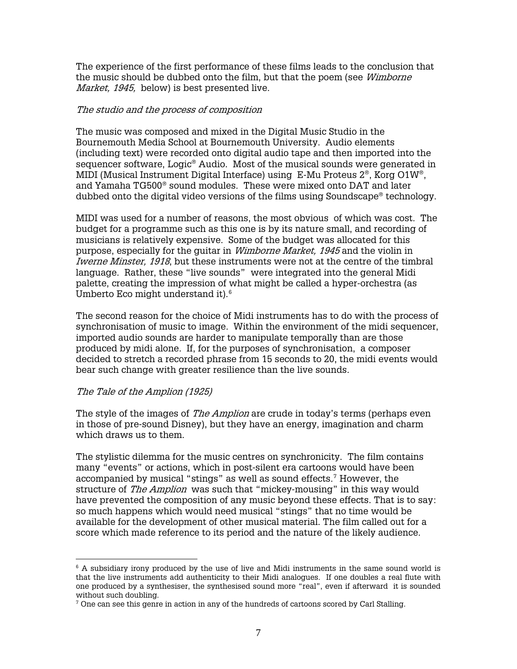The experience of the first performance of these films leads to the conclusion that the music should be dubbed onto the film, but that the poem (see Wimborne Market, 1945, below) is best presented live.

#### The studio and the process of composition

The music was composed and mixed in the Digital Music Studio in the Bournemouth Media School at Bournemouth University. Audio elements (including text) were recorded onto digital audio tape and then imported into the sequencer software, Logic® Audio. Most of the musical sounds were generated in MIDI (Musical Instrument Digital Interface) using E-Mu Proteus  $2^{\circ}$ , Korg O1W<sup>®</sup>, and Yamaha TG500® sound modules. These were mixed onto DAT and later dubbed onto the digital video versions of the films using Soundscape® technology.

MIDI was used for a number of reasons, the most obvious of which was cost. The budget for a programme such as this one is by its nature small, and recording of musicians is relatively expensive. Some of the budget was allocated for this purpose, especially for the guitar in Wimborne Market, 1945 and the violin in Iwerne Minster, 1918, but these instruments were not at the centre of the timbral language. Rather, these "live sounds" were integrated into the general Midi palette, creating the impression of what might be called a hyper-orchestra (as Umberto Eco might understand it).<sup>[6](#page-6-0)</sup>

The second reason for the choice of Midi instruments has to do with the process of synchronisation of music to image. Within the environment of the midi sequencer, imported audio sounds are harder to manipulate temporally than are those produced by midi alone. If, for the purposes of synchronisation, a composer decided to stretch a recorded phrase from 15 seconds to 20, the midi events would bear such change with greater resilience than the live sounds.

## The Tale of the Amplion (1925)

 $\overline{a}$ 

The style of the images of The Amplion are crude in today's terms (perhaps even in those of pre-sound Disney), but they have an energy, imagination and charm which draws us to them.

The stylistic dilemma for the music centres on synchronicity. The film contains many "events" or actions, which in post-silent era cartoons would have been accompanied by musical "stings" as well as sound effects.[7](#page-6-1) However, the structure of The Amplion was such that "mickey-mousing" in this way would have prevented the composition of any music beyond these effects. That is to say : so much happens which would need musical "stings" that no time would b e available for the development of other musical material. The film called out for a score which made reference to its period and the nature of the likely audience.

<span id="page-6-0"></span> $6$  A subsidiary irony produced by the use of live and Midi instruments in the same sound world is that the live instruments add authenticity to their Midi analogues. If one doubles a real flute with one produced by a synthesiser, the synthesised sound more "real", even if afterward it is sounded without such doubling.

<span id="page-6-1"></span> $7$  One can see this genre in action in any of the hundreds of cartoons scored by Carl Stalling.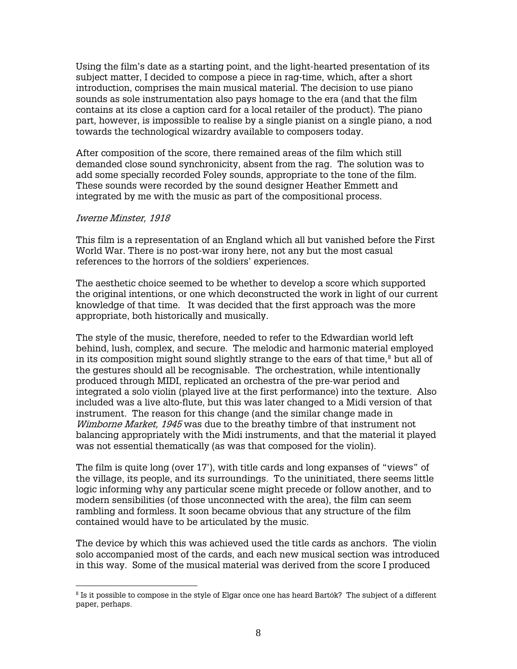Using the film's date as a starting point, and the light-hearted presentation of its subject matter, I decided to compose a piece in rag-time, which, after a short introduction, comprises the main musical material. The decision to use piano sounds as sole instrumentation also pays homage to the era (and that the film contains at its close a caption card for a local retailer of the product). The piano part, however, is impossible to realise by a single pianist on a single piano, a nod towards the technological wizardry available to composers today.

After composition of the score, there remained areas of the film which still demanded close sound synchronicity, absent from the rag. The solution was to add some specially recorded Foley sounds, appropriate to the tone of the film. These sounds were recorded by the sound designer Heather Emmett and integrated by me with the music as part of the compositional process.

#### Iwerne Minster, 1918

 $\overline{a}$ 

This film is a representation of an England which all but vanished before the First World War. There is no post-war irony here, not any but the most casual references to the horrors of the soldiers' experiences.

The aesthetic choice seemed to be whether to develop a score which supported the original intentions, or one which deconstructed the work in light of our current knowledge of that time. It was decided that the first approach was the more appropriate, both historically and musically.

The style of the music, therefore, needed to refer to the Edwardian world left behind, lush, complex, and secure. The melodic and harmonic material employed in its composition might sound slightly strange to the ears of that time, $8$  but all of the gestures should all be recognisable. The orchestration, while intentionally produced through MIDI, replicated an orchestra of the pre-war period and integrated a solo violin (played live at the first performance) into the texture. Also included was a live alto-flute, but this was later changed to a Midi version of that instrument. The reason for this change (and the similar change made in Wimborne Market, 1945 was due to the breathy timbre of that instrument not balancing appropriately with the Midi instruments, and that the material it played was not essential thematically (as was that composed for the violin).

The film is quite long (over 17'), with title cards and long expanses of "views" of the village, its people, and its surroundings. To the uninitiated, there seems little logic informing why any particular scene might precede or follow another, and to modern sensibilities (of those unconnected with the area), the film can seem rambling and formless. It soon became obvious that any structure of the film contained would have to be articulated by the music.

The device by which this was achieved used the title cards as anchors. The violin solo accompanied most of the cards, and each new musical section was introduced in this way. Some of the musical material was derived from the score I produced

<span id="page-7-0"></span><sup>&</sup>lt;sup>8</sup> Is it possible to compose in the style of Elgar once one has heard Bartók? The subject of a different paper, perhaps.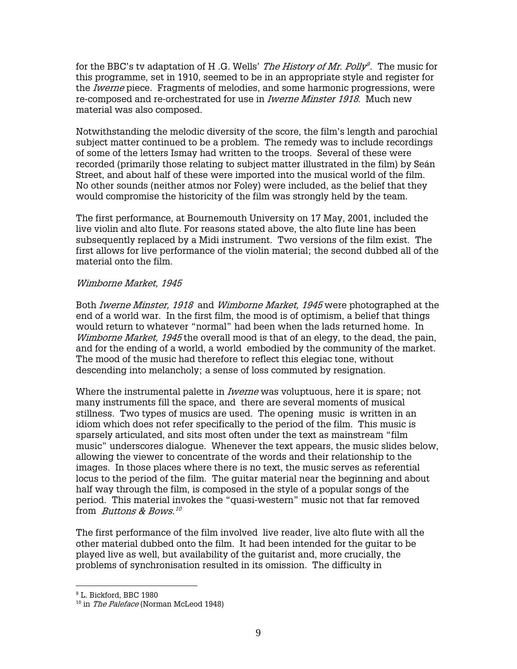for the BBC's ty adaptation of H .G. Wells' *The History of Mr. Polly<sup>[9](#page-8-0)</sup>*. The music for this programme, set in 1910, seemed to be in an appropriate style and register for the *Iwerne* piece. Fragments of melodies, and some harmonic progressions, were re-composed and re-orchestrated for use in *Iwerne Minster 1918*. Much new material was also composed.

Notwithstanding the melodic diversity of the score, the film's length and parochial subject matter continued to be a problem. The remedy was to include recordings of some of the letters Ismay had written to the troops. Several of these were recorded (primarily those relating to subject matter illustrated in the film) by Seán Street, and about half of these were imported into the musical world of the film. No other sounds (neither atmos nor Foley) were included, as the belief that they would compromise the historicity of the film was strongly held by the team.

The first performance, at Bournemouth University on 17 May, 2001, included the live violin and alto flute. For reasons stated above, the alto flute line has been subsequently replaced by a Midi instrument. Two versions of the film exist. The first allows for live performance of the violin material; the second dubbed all of the material onto the film.

## Wimborne Market, 1945

Both Iwerne Minster, 1918 and Wimborne Market, 1945 were photographed at the end of a world war. In the first film, the mood is of optimism, a belief that things would return to whatever "normal" had been when the lads returned home. In Wimborne Market, 1945 the overall mood is that of an elegy, to the dead, the pain, and for the ending of a world, a world embodied by the community of the market. The mood of the music had therefore to reflect this elegiac tone, without descending into melancholy; a sense of loss commuted by resignation.

Where the instrumental palette in *Iwerne* was voluptuous, here it is spare; not many instruments fill the space, and there are several moments of musical stillness. Two types of musics are used. The opening music is written in an idiom which does not refer specifically to the period of the film. This music is sparsely articulated, and sits most often under the text as mainstream "film music" underscores dialogue. Whenever the text appears, the music slides below, allowing the viewer to concentrate of the words and their relationship to the images. In those places where there is no text, the music serves as referential locus to the period of the film. The guitar material near the beginning and about half way through the film, is composed in the style of a popular songs of the period. This material invokes the "quasi-western" music not that far removed from Buttons & Bows.<sup>[10](#page-8-1)</sup>

The first performance of the film involved live reader, live alto flute with all the other material dubbed onto the film. It had been intended for the guitar to be played live as well, but availability of the guitarist and, more crucially, the problems of synchronisation resulted in its omission. The difficulty in

<span id="page-8-0"></span><sup>9</sup> L. Bickford, BBC 1980

<span id="page-8-1"></span><sup>&</sup>lt;sup>10</sup> in *The Paleface* (Norman McLeod 1948)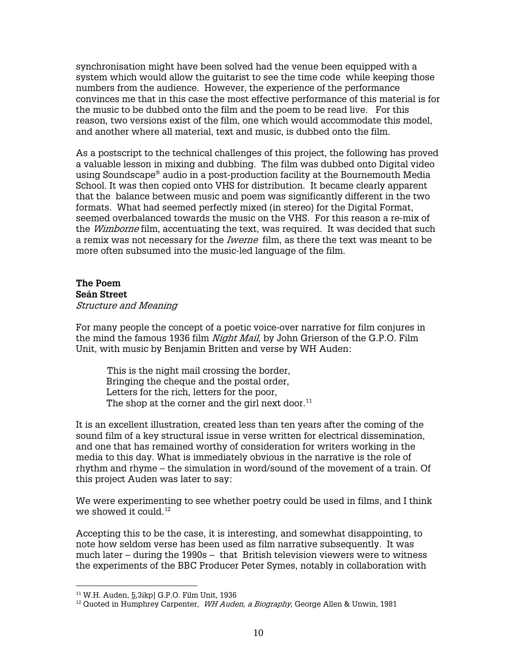synchronisation might have been solved had the venue been equipped with a system which would allow the guitarist to see the time code while keeping those numbers from the audience. However, the experience of the performance convinces me that in this case the most effective performance of this material is for the music to be dubbed onto the film and the poem to be read live. For this reason, two versions exist of the film, one which would accommodate this model, and another where all material, text and music, is dubbed onto the film.

As a postscript to the technical challenges of this project, the following has proved a valuable lesson in mixing and dubbing. The film was dubbed onto Digital video using Soundscape® audio in a post-production facility at the Bournemouth Media School. It was then copied onto VHS for distribution. It became clearly apparent that the balance between music and poem was significantly different in the two formats. What had seemed perfectly mixed (in stereo) for the Digital Format, seemed overbalanced towards the music on the VHS. For this reason a re-mix of the *Wimborne* film, accentuating the text, was required. It was decided that such a remix was not necessary for the *Iwerne* film, as there the text was meant to be more often subsumed into the music-led language of the film.

#### **The Poem Seán Street**  Structure and Meaning

For many people the concept of a poetic voice-over narrative for film conjures in the mind the famous 1936 film *Night Mail*, by John Grierson of the G.P.O. Film Unit, with music by Benjamin Britten and verse by WH Auden:

 This is the night mail crossing the border, Bringing the cheque and the postal order, Letters for the rich, letters for the poor, The shop at the corner and the girl next door. $11$ 

It is an excellent illustration, created less than ten years after the coming of the sound film of a key structural issue in verse written for electrical dissemination, and one that has remained worthy of consideration for writers working in the media to this day. What is immediately obvious in the narrative is the role of rhythm and rhyme – the simulation in word/sound of the movement of a train. Of this project Auden was later to say:

We were experimenting to see whether poetry could be used in films, and I think we showed it could.<sup>[12](#page-9-1)</sup>

Accepting this to be the case, it is interesting, and somewhat disappointing, to note how seldom verse has been used as film narrative subsequently. It was much later – during the 1990s – that British television viewers were to witness the experiments of the BBC Producer Peter Symes, notably in collaboration with

<span id="page-9-1"></span><span id="page-9-0"></span><sup>&</sup>lt;sup>11</sup> W.H. Auden, <u>5</u>,3ikp] G.P.O. Film Unit, 1936<br><sup>12</sup> Quoted in Humphrey Carpenter, *WH Auden, a Biography*, George Allen & Unwin, 1981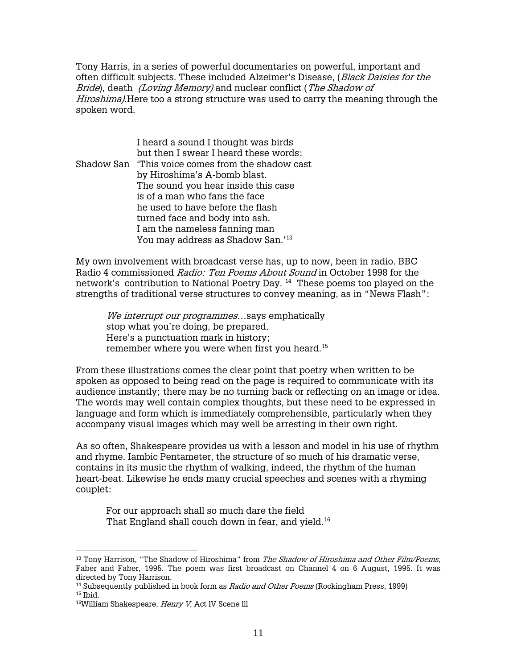Tony Harris, in a series of powerful documentaries on powerful, important and often difficult subjects. These included Alzeimer's Disease, (Black Daisies for the Bride), death (Loving Memory) and nuclear conflict (The Shadow of Hiroshima). Here too a strong structure was used to carry the meaning through the spoken word.

| I heard a sound I thought was birds               |
|---------------------------------------------------|
| but then I swear I heard these words:             |
| Shadow San 'This voice comes from the shadow cast |
| by Hiroshima's A-bomb blast.                      |
| The sound you hear inside this case               |
| is of a man who fans the face                     |
| he used to have before the flash                  |
| turned face and body into ash.                    |
| I am the nameless fanning man                     |
| You may address as Shadow San.' <sup>13</sup>     |

My own involvement with broadcast verse has, up to now, been in radio. BBC Radio 4 commissioned *Radio: Ten Poems About Sound* in October 1998 for the network's contribution to National Poetry Day.<sup>[14](#page-10-1)</sup> These poems too played on the strengths of traditional verse structures to convey meaning, as in "News Flash":

We interrupt our programmes...says emphatically stop what you're doing, be prepared. Here's a punctuation mark in history; remember where you were when first you heard.<sup>[15](#page-10-2)</sup>

From these illustrations comes the clear point that poetry when written to be spoken as opposed to being read on the page is required to communicate with its audience instantly; there may be no turning back or reflecting on an image or idea. The words may well contain complex thoughts, but these need to be expressed in language and form which is immediately comprehensible, particularly when they accompany visual images which may well be arresting in their own right.

As so often, Shakespeare provides us with a lesson and model in his use of rhythm and rhyme. Iambic Pentameter, the structure of so much of his dramatic verse, contains in its music the rhythm of walking, indeed, the rhythm of the human heart-beat. Likewise he ends many crucial speeches and scenes with a rhyming couplet:

 For our approach shall so much dare the field That England shall couch down in fear, and yield.<sup>[16](#page-10-3)</sup>

<span id="page-10-0"></span> $13$  Tony Harrison, "The Shadow of Hiroshima" from The Shadow of Hiroshima and Other Film/Poems, Faber and Faber, 1995. The poem was first broadcast on Channel 4 on 6 August, 1995. It was

<span id="page-10-1"></span>directed by Tony Harrison.<br><sup>14</sup> Subsequently published in book form as *Radio and Other Poems* (Rockingham Press, 1999)<br><sup>15</sup> Ibid.

<span id="page-10-3"></span><span id="page-10-2"></span> $16$ William Shakespeare, Henry V, Act IV Scene III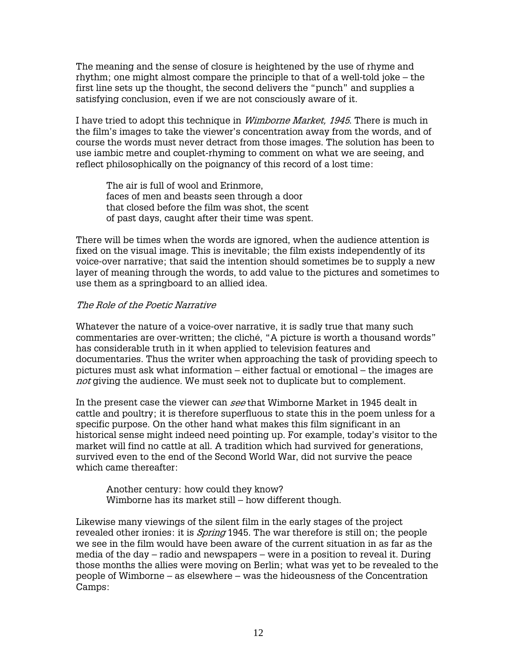The meaning and the sense of closure is heightened by the use of rhyme and rhythm; one might almost compare the principle to that of a well-told joke – the first line sets up the thought, the second delivers the "punch" and supplies a satisfying conclusion, even if we are not consciously aware of it.

I have tried to adopt this technique in *Wimborne Market, 1945*. There is much in the film's images to take the viewer's concentration away from the words, and of course the words must never detract from those images. The solution has been to use iambic metre and couplet-rhyming to comment on what we are seeing, and reflect philosophically on the poignancy of this record of a lost time:

 The air is full of wool and Erinmore, faces of men and beasts seen through a door that closed before the film was shot, the scent of past days, caught after their time was spent.

There will be times when the words are ignored, when the audience attention is fixed on the visual image. This is inevitable; the film exists independently of its voice-over narrative; that said the intention should sometimes be to supply a new layer of meaning through the words, to add value to the pictures and sometimes to use them as a springboard to an allied idea.

## The Role of the Poetic Narrative

Whatever the nature of a voice-over narrative, it is sadly true that many such commentaries are over-written; the cliché, "A picture is worth a thousand words" has considerable truth in it when applied to television features and documentaries. Thus the writer when approaching the task of providing speech to pictures must ask what information – either factual or emotional – the images are not giving the audience. We must seek not to duplicate but to complement.

In the present case the viewer can see that Wimborne Market in 1945 dealt in cattle and poultry; it is therefore superfluous to state this in the poem unless for a specific purpose. On the other hand what makes this film significant in an historical sense might indeed need pointing up. For example, today's visitor to the market will find no cattle at all. A tradition which had survived for generations, survived even to the end of the Second World War, did not survive the peace which came thereafter:

 Another century: how could they know? Wimborne has its market still – how different though.

Likewise many viewings of the silent film in the early stages of the project revealed other ironies: it is *Spring* 1945. The war therefore is still on; the people we see in the film would have been aware of the current situation in as far as the media of the day – radio and newspapers – were in a position to reveal it. During those months the allies were moving on Berlin; what was yet to be revealed to the people of Wimborne – as elsewhere – was the hideousness of the Concentration Camps: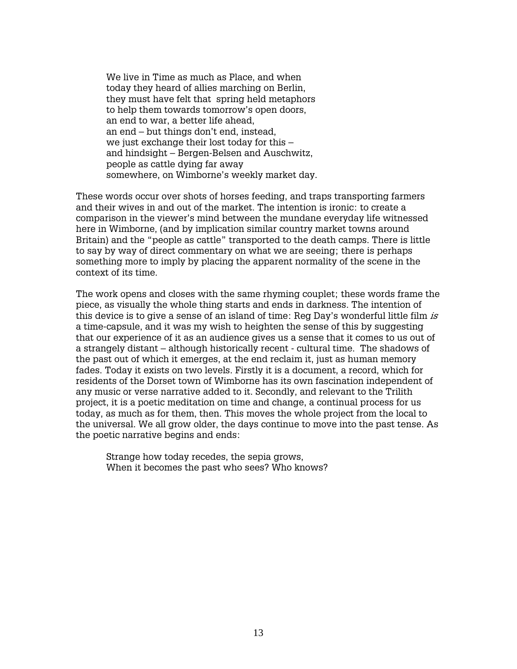We live in Time as much as Place, and when today they heard of allies marching on Berlin, they must have felt that spring held metaphors to help them towards tomorrow's open doors, an end to war, a better life ahead, an end – but things don't end, instead, we just exchange their lost today for this – and hindsight – Bergen-Belsen and Auschwitz, people as cattle dying far away somewhere, on Wimborne's weekly market day.

These words occur over shots of horses feeding, and traps transporting farmers and their wives in and out of the market. The intention is ironic: to create a comparison in the viewer's mind between the mundane everyday life witnessed here in Wimborne, (and by implication similar country market towns around Britain) and the "people as cattle" transported to the death camps. There is little to say by way of direct commentary on what we are seeing; there is perhaps something more to imply by placing the apparent normality of the scene in the context of its time.

The work opens and closes with the same rhyming couplet; these words frame the piece, as visually the whole thing starts and ends in darkness. The intention of this device is to give a sense of an island of time: Reg Day's wonderful little film is a time-capsule, and it was my wish to heighten the sense of this by suggesting that our experience of it as an audience gives us a sense that it comes to us out of a strangely distant – although historically recent - cultural time. The shadows of the past out of which it emerges, at the end reclaim it, just as human memory fades. Today it exists on two levels. Firstly it is a document, a record, which for residents of the Dorset town of Wimborne has its own fascination independent of any music or verse narrative added to it. Secondly, and relevant to the Trilith project, it is a poetic meditation on time and change, a continual process for us today, as much as for them, then. This moves the whole project from the local to the universal. We all grow older, the days continue to move into the past tense. As the poetic narrative begins and ends:

 Strange how today recedes, the sepia grows, When it becomes the past who sees? Who knows?